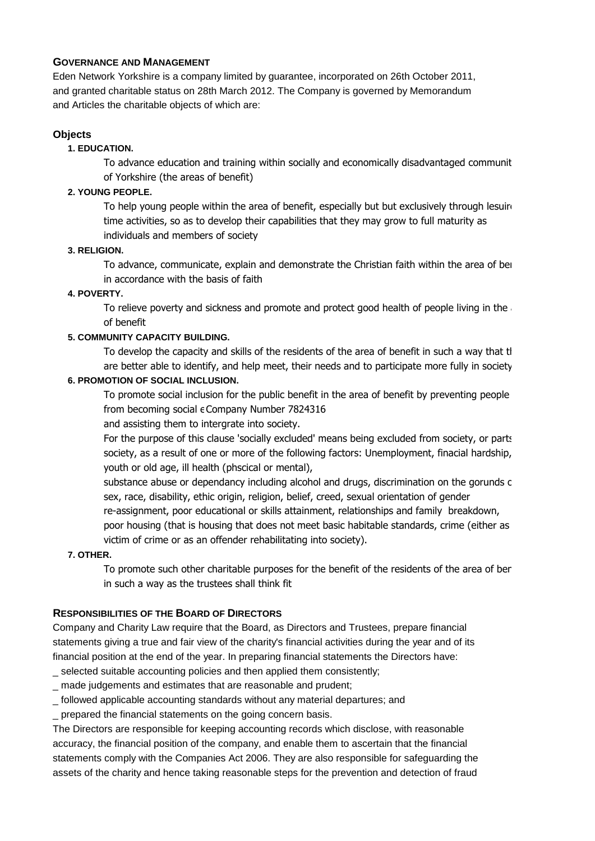### **GOVERNANCE AND MANAGEMENT**

Eden Network Yorkshire is a company limited by guarantee, incorporated on 26th October 2011, and granted charitable status on 28th March 2012. The Company is governed by Memorandum and Articles the charitable objects of which are:

# **Objects**

# **1. EDUCATION.**

To advance education and training within socially and economically disadvantaged communities of Yorkshire (the areas of benefit)

# **2. YOUNG PEOPLE.**

To help young people within the area of benefit, especially but but exclusively through lesuing time activities, so as to develop their capabilities that they may grow to full maturity as individuals and members of society

# **3. RELIGION.**

To advance, communicate, explain and demonstrate the Christian faith within the area of bei in accordance with the basis of faith

# **4. POVERTY.**

To relieve poverty and sickness and promote and protect good health of people living in the of benefit

# **5. COMMUNITY CAPACITY BUILDING.**

To develop the capacity and skills of the residents of the area of benefit in such a way that the are better able to identify, and help meet, their needs and to participate more fully in society.

# **6. PROMOTION OF SOCIAL INCLUSION.**

To promote social inclusion for the public benefit in the area of benefit by preventing people from becoming social  $\epsilon$  Company Number 7824316

and assisting them to intergrate into society.

For the purpose of this clause 'socially excluded' means being excluded from society, or parts society, as a result of one or more of the following factors: Unemployment, finacial hardship, youth or old age, ill health (phscical or mental),

substance abuse or dependancy including alcohol and drugs, discrimination on the gorunds c sex, race, disability, ethic origin, religion, belief, creed, sexual orientation of gender

re-assignment, poor educational or skills attainment, relationships and family breakdown,

poor housing (that is housing that does not meet basic habitable standards, crime (either as victim of crime or as an offender rehabilitating into society).

#### **7. OTHER.**

To promote such other charitable purposes for the benefit of the residents of the area of ber in such a way as the trustees shall think fit

# **RESPONSIBILITIES OF THE BOARD OF DIRECTORS**

Company and Charity Law require that the Board, as Directors and Trustees, prepare financial statements giving a true and fair view of the charity's financial activities during the year and of its financial position at the end of the year. In preparing financial statements the Directors have:

\_ selected suitable accounting policies and then applied them consistently;

- \_ made judgements and estimates that are reasonable and prudent;
- \_ followed applicable accounting standards without any material departures; and
- prepared the financial statements on the going concern basis.

The Directors are responsible for keeping accounting records which disclose, with reasonable accuracy, the financial position of the company, and enable them to ascertain that the financial statements comply with the Companies Act 2006. They are also responsible for safeguarding the assets of the charity and hence taking reasonable steps for the prevention and detection of fraud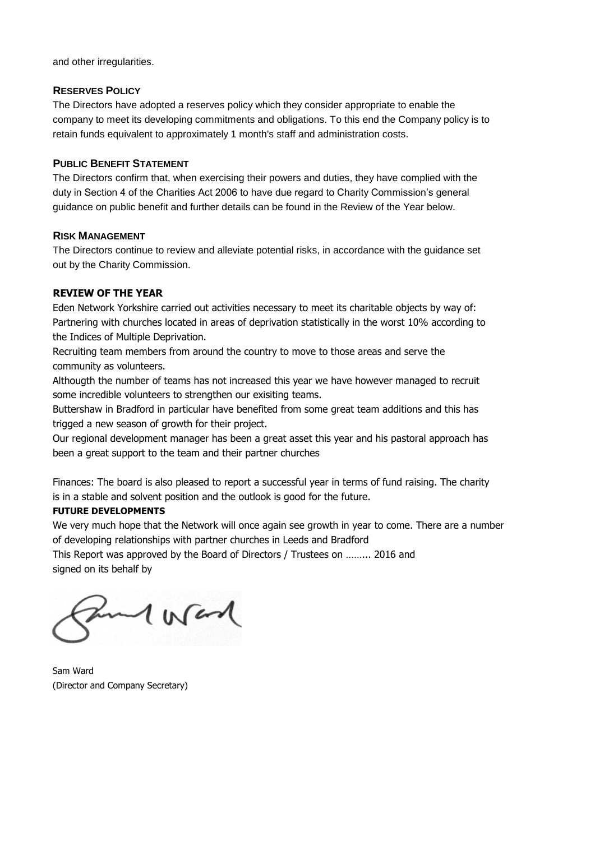and other irregularities.

#### **RESERVES POLICY**

The Directors have adopted a reserves policy which they consider appropriate to enable the company to meet its developing commitments and obligations. To this end the Company policy is to retain funds equivalent to approximately 1 month's staff and administration costs.

#### **PUBLIC BENEFIT STATEMENT**

The Directors confirm that, when exercising their powers and duties, they have complied with the duty in Section 4 of the Charities Act 2006 to have due regard to Charity Commission's general guidance on public benefit and further details can be found in the Review of the Year below.

# **RISK MANAGEMENT**

The Directors continue to review and alleviate potential risks, in accordance with the guidance set out by the Charity Commission.

# **REVIEW OF THE YEAR**

Eden Network Yorkshire carried out activities necessary to meet its charitable objects by way of: Partnering with churches located in areas of deprivation statistically in the worst 10% according to the Indices of Multiple Deprivation.

Recruiting team members from around the country to move to those areas and serve the community as volunteers.

Althougth the number of teams has not increased this year we have however managed to recruit some incredible volunteers to strengthen our exisiting teams.

Buttershaw in Bradford in particular have benefited from some great team additions and this has trigged a new season of growth for their project.

Our regional development manager has been a great asset this year and his pastoral approach has been a great support to the team and their partner churches

Finances: The board is also pleased to report a successful year in terms of fund raising. The charity is in a stable and solvent position and the outlook is good for the future.

#### **FUTURE DEVELOPMENTS**

We very much hope that the Network will once again see growth in year to come. There are a number of developing relationships with partner churches in Leeds and Bradford

This Report was approved by the Board of Directors / Trustees on ……... 2016 and signed on its behalf by

Moral

Sam Ward (Director and Company Secretary)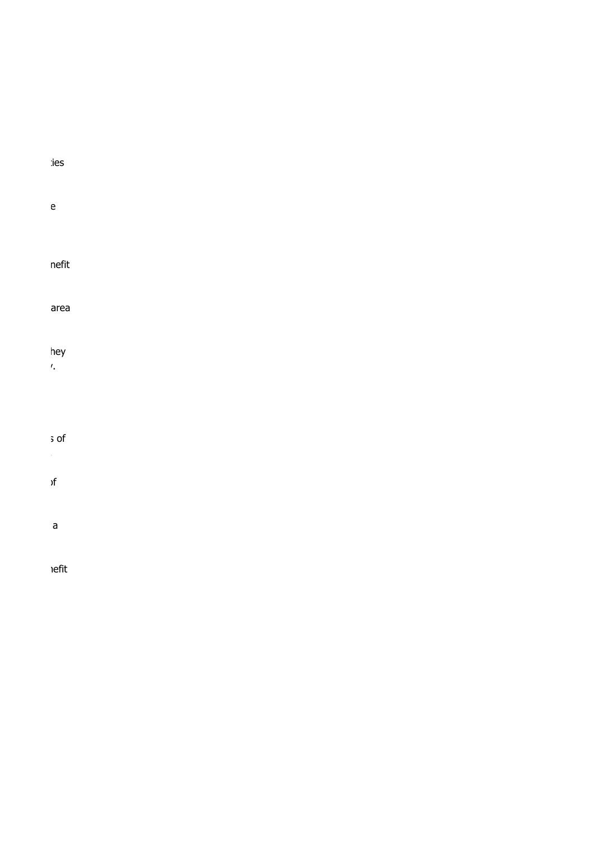# To advance education and training with social social social socialistics and economical social socialistics an

# To help young people within the area of benefit, especially but but exclusively through lesuire

# $T$ o advance, explanation and demonstrate the  $\mathsf{nefit}$

To relieve and and and promote and proportional site and promote and problems and problems area. In the area i

# To develop the capacity and skills of the residents of the residents of the area of the area of the area of th

# are better able to identify, and help meet, their needs and to participate more fully in society.

 $\sim$  this contract is of this contract is  $\sim$ 

# $s_{\rm eff}$  as a result of the following factors: Unemployment, final hardship, final hardship, final hardship, final hardship, final hardship, final hardship, final hardship, final hardship, final hardship, final hardship,

# substance abuse or dependancy including alcohol and drugs, discrimination on the gorunds of

poor housing that is housing that is housing that is housing that is housing that is  $a$ 

# $T$ o promote such other charitable purposes for the benefit of the  $P$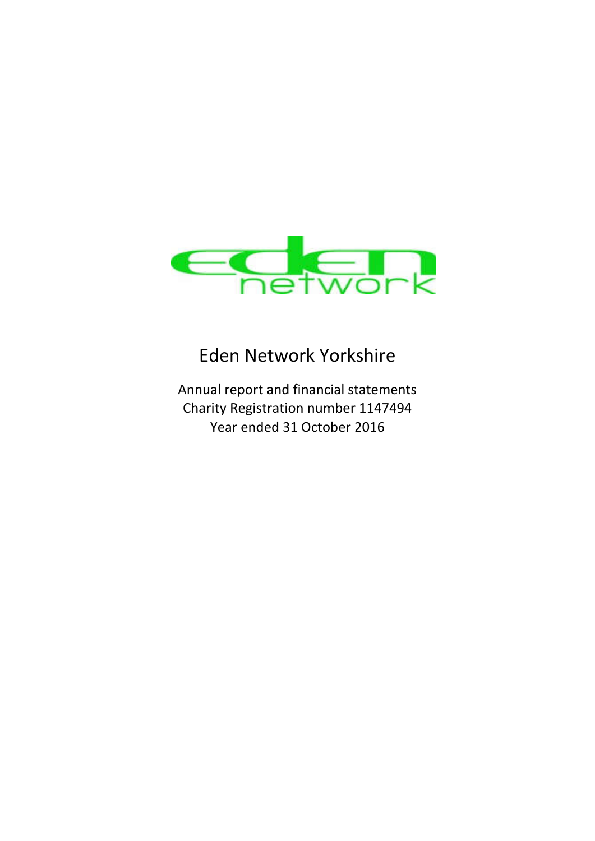

# Eden Network Yorkshire

Annual report and financial statements Charity Registration number 1147494 Year ended 31 October 2016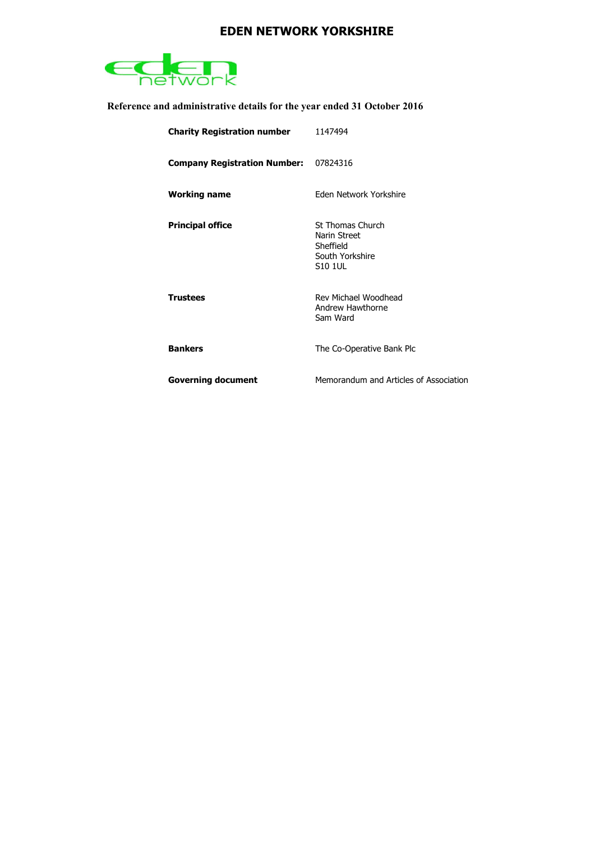

**Reference and administrative details for the year ended 31 October 2016**

| <b>Charity Registration number</b>           | 1147494                                                                                   |
|----------------------------------------------|-------------------------------------------------------------------------------------------|
| <b>Company Registration Number: 07824316</b> |                                                                                           |
| <b>Working name</b>                          | <b>Fden Network Yorkshire</b>                                                             |
| <b>Principal office</b>                      | <b>St Thomas Church</b><br>Narin Street<br>Sheffield<br>South Yorkshire<br><b>S10 1UL</b> |
| <b>Trustees</b>                              | Rev Michael Woodhead<br>Andrew Hawthorne<br>Sam Ward                                      |
| <b>Bankers</b>                               | The Co-Operative Bank Plc                                                                 |
| <b>Governing document</b>                    | Memorandum and Articles of Association                                                    |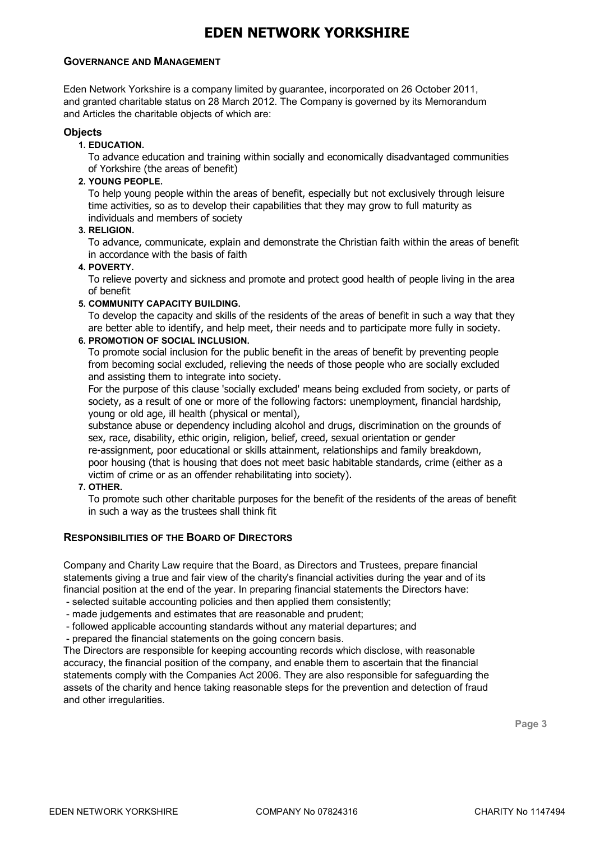#### **GOVERNANCE AND MANAGEMENT**

Eden Network Yorkshire is a company limited by guarantee, incorporated on 26 October 2011, and granted charitable status on 28 March 2012. The Company is governed by its Memorandum and Articles the charitable objects of which are:

#### **Objects**

**1. EDUCATION.**

To advance education and training within socially and economically disadvantaged communities of Yorkshire (the areas of benefit)

**2. YOUNG PEOPLE.**

To help young people within the areas of benefit, especially but not exclusively through leisure time activities, so as to develop their capabilities that they may grow to full maturity as individuals and members of society

**3. RELIGION.**

To advance, communicate, explain and demonstrate the Christian faith within the areas of benefit in accordance with the basis of faith

#### **4. POVERTY.**

To relieve poverty and sickness and promote and protect good health of people living in the area of benefit

#### **5. COMMUNITY CAPACITY BUILDING.**

To develop the capacity and skills of the residents of the areas of benefit in such a way that they are better able to identify, and help meet, their needs and to participate more fully in society.

#### **6. PROMOTION OF SOCIAL INCLUSION.**

To promote social inclusion for the public benefit in the areas of benefit by preventing people from becoming social excluded, relieving the needs of those people who are socially excluded and assisting them to integrate into society.

For the purpose of this clause 'socially excluded' means being excluded from society, or parts of society, as a result of one or more of the following factors: unemployment, financial hardship, young or old age, ill health (physical or mental),

substance abuse or dependency including alcohol and drugs, discrimination on the grounds of sex, race, disability, ethic origin, religion, belief, creed, sexual orientation or gender re-assignment, poor educational or skills attainment, relationships and family breakdown, poor housing (that is housing that does not meet basic habitable standards, crime (either as a victim of crime or as an offender rehabilitating into society).

#### **7. OTHER.**

To promote such other charitable purposes for the benefit of the residents of the areas of benefit in such a way as the trustees shall think fit

#### **RESPONSIBILITIES OF THE BOARD OF DIRECTORS**

Company and Charity Law require that the Board, as Directors and Trustees, prepare financial statements giving a true and fair view of the charity's financial activities during the year and of its financial position at the end of the year. In preparing financial statements the Directors have:

- selected suitable accounting policies and then applied them consistently;
- made judgements and estimates that are reasonable and prudent;
- followed applicable accounting standards without any material departures; and
- prepared the financial statements on the going concern basis.

The Directors are responsible for keeping accounting records which disclose, with reasonable accuracy, the financial position of the company, and enable them to ascertain that the financial statements comply with the Companies Act 2006. They are also responsible for safeguarding the assets of the charity and hence taking reasonable steps for the prevention and detection of fraud and other irregularities.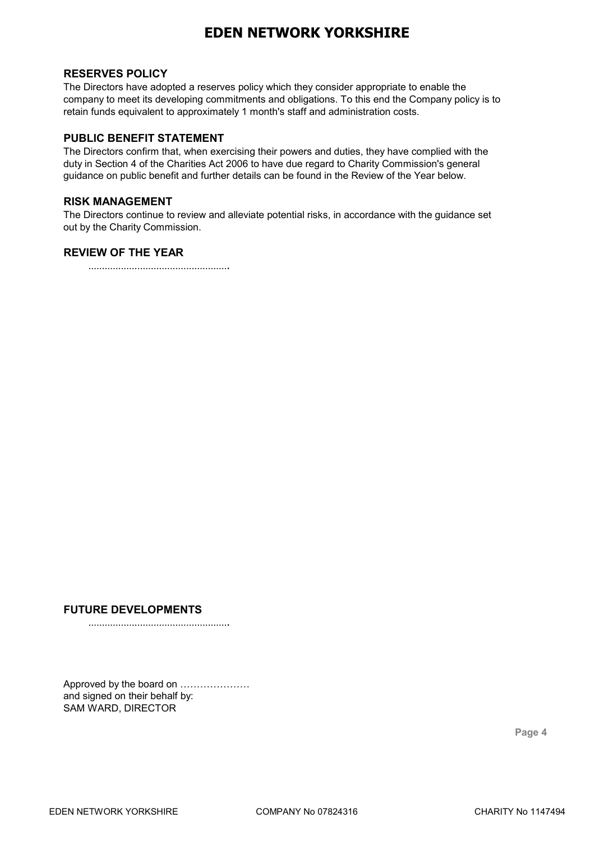# **RESERVES POLICY**

The Directors have adopted a reserves policy which they consider appropriate to enable the company to meet its developing commitments and obligations. To this end the Company policy is to retain funds equivalent to approximately 1 month's staff and administration costs.

# **PUBLIC BENEFIT STATEMENT**

The Directors confirm that, when exercising their powers and duties, they have complied with the duty in Section 4 of the Charities Act 2006 to have due regard to Charity Commission's general guidance on public benefit and further details can be found in the Review of the Year below.

#### **RISK MANAGEMENT**

The Directors continue to review and alleviate potential risks, in accordance with the guidance set out by the Charity Commission.

# **REVIEW OF THE YEAR**

…………………………………………….

# **FUTURE DEVELOPMENTS**

…………………………………………….

Approved by the board on ………………… and signed on their behalf by: SAM WARD, DIRECTOR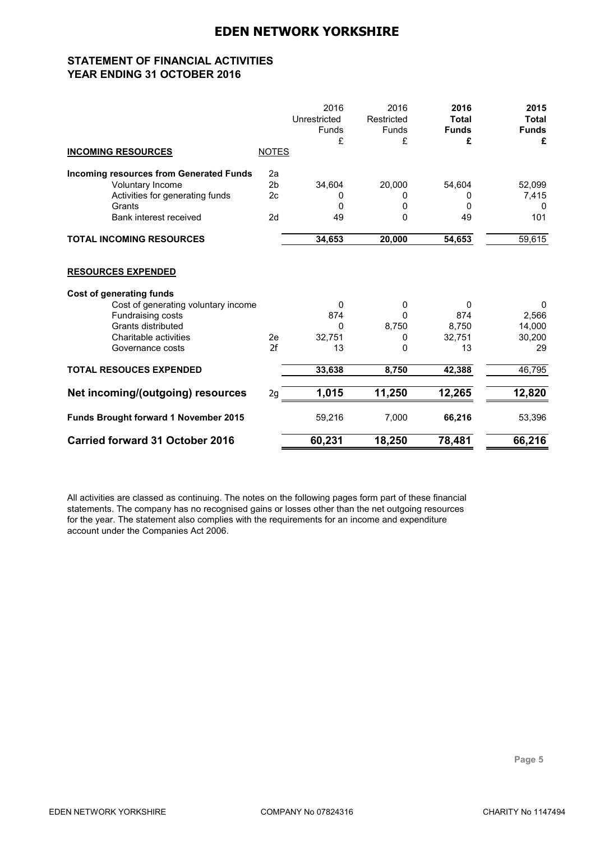# **STATEMENT OF FINANCIAL ACTIVITIES YEAR ENDING 31 OCTOBER 2016**

|                                                |                | 2016<br>Unrestricted<br><b>Funds</b><br>£ | 2016<br>Restricted<br>Funds<br>£ | 2016<br><b>Total</b><br><b>Funds</b><br>£ | 2015<br>Total<br><b>Funds</b><br>£ |
|------------------------------------------------|----------------|-------------------------------------------|----------------------------------|-------------------------------------------|------------------------------------|
| <b>INCOMING RESOURCES</b>                      | <b>NOTES</b>   |                                           |                                  |                                           |                                    |
| <b>Incoming resources from Generated Funds</b> | 2a             |                                           |                                  |                                           |                                    |
| Voluntary Income                               | 2 <sub>b</sub> | 34,604                                    | 20,000                           | 54,604                                    | 52,099                             |
| Activities for generating funds                | 2c             | 0                                         | 0                                | 0                                         | 7,415                              |
| Grants                                         |                | 0                                         | 0                                | 0                                         | 0                                  |
| Bank interest received                         | 2d             | 49                                        | 0                                | 49                                        | 101                                |
| <b>TOTAL INCOMING RESOURCES</b>                |                | 34,653                                    | 20,000                           | 54,653                                    | 59,615                             |
| <b>RESOURCES EXPENDED</b>                      |                |                                           |                                  |                                           |                                    |
| <b>Cost of generating funds</b>                |                |                                           |                                  |                                           |                                    |
| Cost of generating voluntary income            |                | 0                                         | 0                                | 0                                         | $\mathbf{0}$                       |
| Fundraising costs                              |                | 874                                       | $\mathbf 0$                      | 874                                       | 2,566                              |
| Grants distributed                             |                | 0                                         | 8,750                            | 8,750                                     | 14,000                             |
| Charitable activities                          | 2e             | 32,751                                    | 0                                | 32,751                                    | 30,200                             |
| Governance costs                               | 2f             | 13                                        | 0                                | 13                                        | 29                                 |
| <b>TOTAL RESOUCES EXPENDED</b>                 |                | 33,638                                    | 8,750                            | 42,388                                    | 46,795                             |
| Net incoming/(outgoing) resources              | 2g             | 1,015                                     | 11,250                           | 12,265                                    | 12,820                             |
| Funds Brought forward 1 November 2015          |                | 59,216                                    | 7,000                            | 66,216                                    | 53,396                             |
| <b>Carried forward 31 October 2016</b>         |                | 60,231                                    | 18,250                           | 78,481                                    | 66,216                             |

All activities are classed as continuing. The notes on the following pages form part of these financial statements. The company has no recognised gains or losses other than the net outgoing resources for the year. The statement also complies with the requirements for an income and expenditure account under the Companies Act 2006.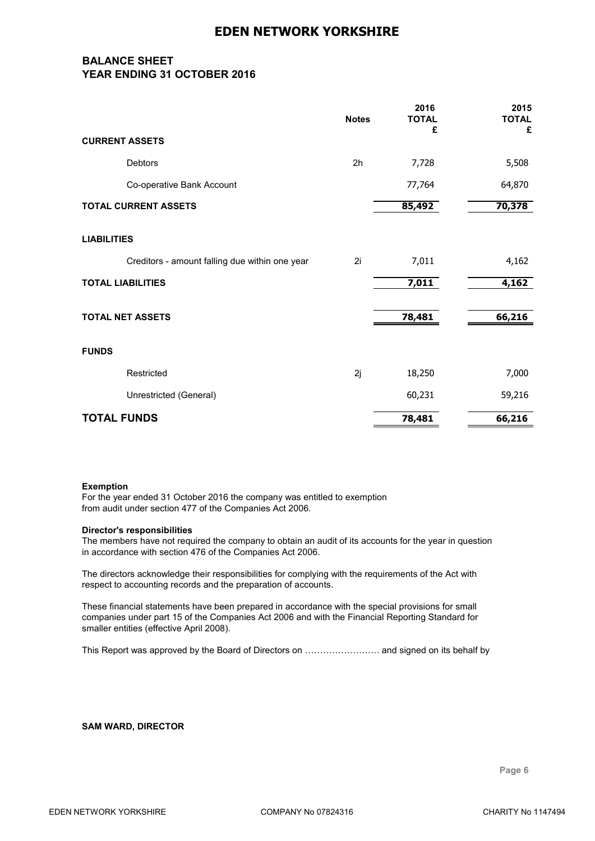# **BALANCE SHEET YEAR ENDING 31 OCTOBER 2016**

|                                                | <b>Notes</b> | 2016<br><b>TOTAL</b><br>£ | 2015<br><b>TOTAL</b><br>£ |
|------------------------------------------------|--------------|---------------------------|---------------------------|
| <b>CURRENT ASSETS</b>                          |              |                           |                           |
| Debtors                                        | 2h           | 7,728                     | 5,508                     |
| Co-operative Bank Account                      |              | 77,764                    | 64,870                    |
| <b>TOTAL CURRENT ASSETS</b>                    |              | 85,492                    | 70,378                    |
| <b>LIABILITIES</b>                             |              |                           |                           |
| Creditors - amount falling due within one year | 2i           | 7,011                     | 4,162                     |
| <b>TOTAL LIABILITIES</b>                       |              | 7,011                     | 4,162                     |
| <b>TOTAL NET ASSETS</b>                        |              | 78,481                    | 66,216                    |
| <b>FUNDS</b>                                   |              |                           |                           |
| Restricted                                     | 2j           | 18,250                    | 7,000                     |
| Unrestricted (General)                         |              | 60,231                    | 59,216                    |
| <b>TOTAL FUNDS</b>                             |              | 78,481                    | 66,216                    |

#### **Exemption**

For the year ended 31 October 2016 the company was entitled to exemption from audit under section 477 of the Companies Act 2006.

#### **Director's responsibilities**

The members have not required the company to obtain an audit of its accounts for the year in question in accordance with section 476 of the Companies Act 2006.

The directors acknowledge their responsibilities for complying with the requirements of the Act with respect to accounting records and the preparation of accounts.

These financial statements have been prepared in accordance with the special provisions for small companies under part 15 of the Companies Act 2006 and with the Financial Reporting Standard for smaller entities (effective April 2008).

This Report was approved by the Board of Directors on ……………………. and signed on its behalf by

#### **SAM WARD, DIRECTOR**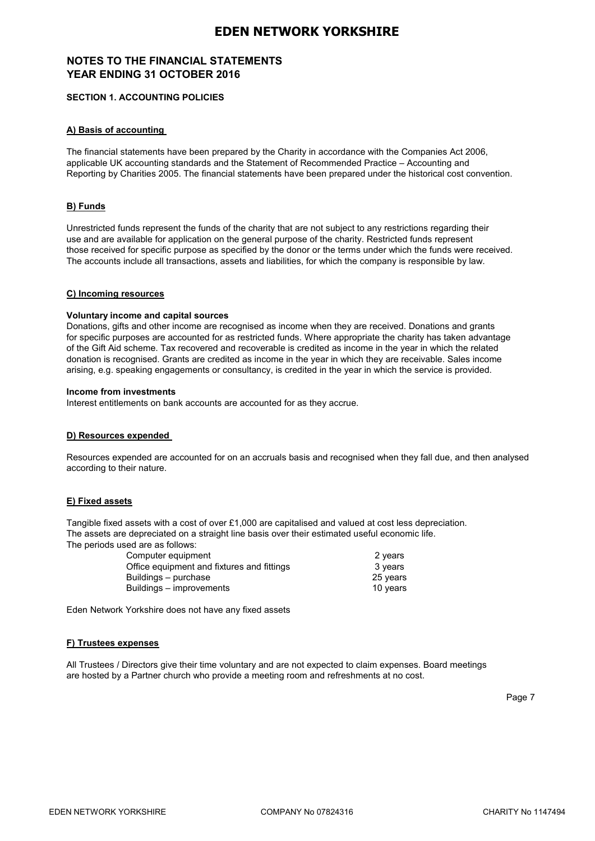# **NOTES TO THE FINANCIAL STATEMENTS YEAR ENDING 31 OCTOBER 2016**

#### **SECTION 1. ACCOUNTING POLICIES**

#### **A) Basis of accounting**

The financial statements have been prepared by the Charity in accordance with the Companies Act 2006, applicable UK accounting standards and the Statement of Recommended Practice – Accounting and Reporting by Charities 2005. The financial statements have been prepared under the historical cost convention.

#### **B) Funds**

Unrestricted funds represent the funds of the charity that are not subject to any restrictions regarding their use and are available for application on the general purpose of the charity. Restricted funds represent those received for specific purpose as specified by the donor or the terms under which the funds were received. The accounts include all transactions, assets and liabilities, for which the company is responsible by law.

#### **C) Incoming resources**

#### **Voluntary income and capital sources**

Donations, gifts and other income are recognised as income when they are received. Donations and grants for specific purposes are accounted for as restricted funds. Where appropriate the charity has taken advantage of the Gift Aid scheme. Tax recovered and recoverable is credited as income in the year in which the related donation is recognised. Grants are credited as income in the year in which they are receivable. Sales income arising, e.g. speaking engagements or consultancy, is credited in the year in which the service is provided.

#### **Income from investments**

Interest entitlements on bank accounts are accounted for as they accrue.

#### **D) Resources expended**

Resources expended are accounted for on an accruals basis and recognised when they fall due, and then analysed according to their nature.

#### **E) Fixed assets**

Tangible fixed assets with a cost of over £1,000 are capitalised and valued at cost less depreciation. The assets are depreciated on a straight line basis over their estimated useful economic life. The periods used are as follows:

| Computer equipment                         | 2 years  |
|--------------------------------------------|----------|
| Office equipment and fixtures and fittings | 3 years  |
| Buildings – purchase                       | 25 years |
| Buildings – improvements                   | 10 years |
|                                            |          |

Eden Network Yorkshire does not have any fixed assets

#### **F) Trustees expenses**

All Trustees / Directors give their time voluntary and are not expected to claim expenses. Board meetings are hosted by a Partner church who provide a meeting room and refreshments at no cost.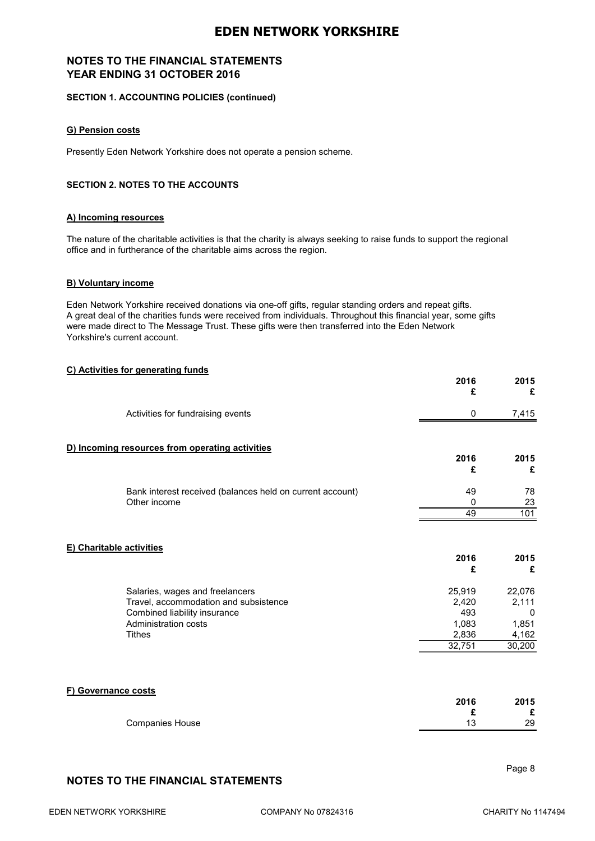# **NOTES TO THE FINANCIAL STATEMENTS YEAR ENDING 31 OCTOBER 2016**

#### **SECTION 1. ACCOUNTING POLICIES (continued)**

#### **G) Pension costs**

Presently Eden Network Yorkshire does not operate a pension scheme.

#### **SECTION 2. NOTES TO THE ACCOUNTS**

#### **A) Incoming resources**

The nature of the charitable activities is that the charity is always seeking to raise funds to support the regional office and in furtherance of the charitable aims across the region.

#### **B) Voluntary income**

Eden Network Yorkshire received donations via one-off gifts, regular standing orders and repeat gifts. A great deal of the charities funds were received from individuals. Throughout this financial year, some gifts were made direct to The Message Trust. These gifts were then transferred into the Eden Network Yorkshire's current account.

#### **C) Activities for generating funds**

|                          |                                                                           | 2016<br>£ | 2015<br>£ |
|--------------------------|---------------------------------------------------------------------------|-----------|-----------|
|                          | Activities for fundraising events                                         | 0         | 7,415     |
|                          | D) Incoming resources from operating activities                           | 2016      | 2015      |
|                          |                                                                           | £         | £         |
|                          | Bank interest received (balances held on current account)<br>Other income | 49<br>0   | 78<br>23  |
|                          |                                                                           | 49        | 101       |
| E) Charitable activities |                                                                           | 2016<br>£ | 2015<br>£ |
|                          | Salaries, wages and freelancers                                           | 25,919    | 22,076    |
|                          | Travel, accommodation and subsistence                                     | 2,420     | 2,111     |
|                          | Combined liability insurance                                              | 493       | 0         |
|                          | Administration costs                                                      | 1,083     | 1,851     |
|                          | <b>Tithes</b>                                                             | 2,836     | 4,162     |
|                          |                                                                           | 32,751    | 30,200    |
| F) Governance costs      |                                                                           | 2016      | 2015      |

|                        | 2016 | 2015 |
|------------------------|------|------|
|                        |      |      |
| <b>Companies House</b> |      | 29   |

# **NOTES TO THE FINANCIAL STATEMENTS**